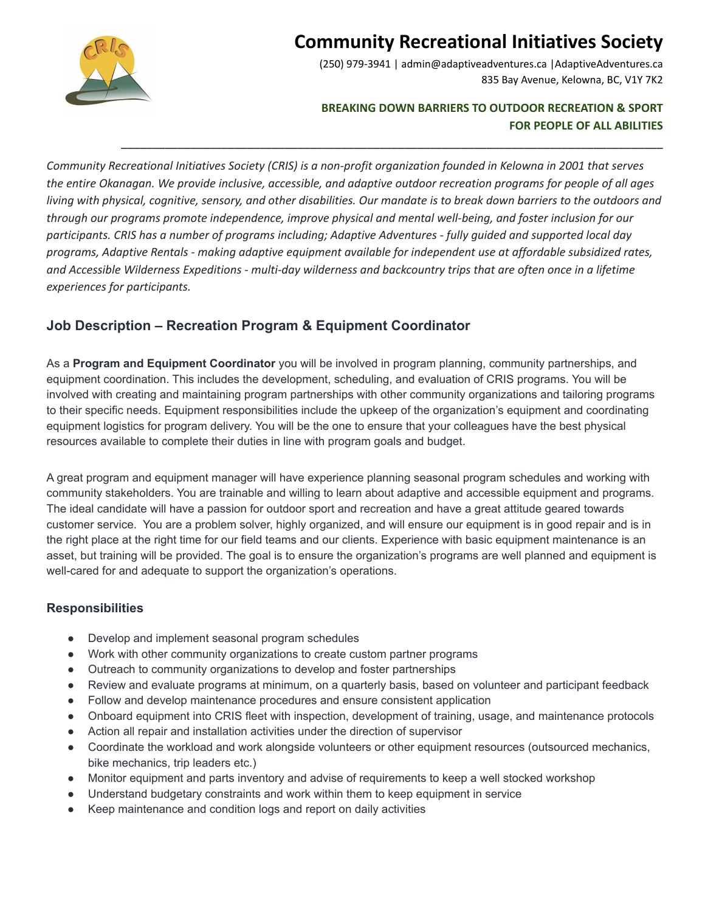

# **Community Recreational Initiatives Society**

(250) 979-3941 | admin@adaptiveadventures.ca |AdaptiveAdventures.ca 835 Bay Avenue, Kelowna, BC, V1Y 7K2

### **BREAKING DOWN BARRIERS TO OUTDOOR RECREATION & SPORT FOR PEOPLE OF ALL ABILITIES**

Community Recreational Initiatives Society (CRIS) is a non-profit organization founded in Kelowna in 2001 that serves the entire Okanagan. We provide inclusive, accessible, and adaptive outdoor recreation programs for people of all ages living with physical, cognitive, sensory, and other disabilities. Our mandate is to break down barriers to the outdoors and *through our programs promote independence, improve physical and mental well-being, and foster inclusion for our* participants. CRIS has a number of programs including; Adaptive Adventures - fully quided and supported local day *programs, Adaptive Rentals - making adaptive equipment available for independent use at affordable subsidized rates,* and Accessible Wilderness Expeditions - multi-day wilderness and backcountry trips that are often once in a lifetime *experiences for participants.*

\_\_\_\_\_\_\_\_\_\_\_\_\_\_\_\_\_\_\_\_\_\_\_\_\_\_\_\_\_\_\_\_\_\_\_\_\_\_\_\_\_\_\_\_\_\_\_\_\_\_\_\_\_\_\_\_\_\_\_\_\_\_\_\_\_\_\_\_\_\_\_\_\_\_\_\_\_\_\_\_\_\_\_\_\_\_

## **Job Description – Recreation Program & Equipment Coordinator**

As a **Program and Equipment Coordinator** you will be involved in program planning, community partnerships, and equipment coordination. This includes the development, scheduling, and evaluation of CRIS programs. You will be involved with creating and maintaining program partnerships with other community organizations and tailoring programs to their specific needs. Equipment responsibilities include the upkeep of the organization's equipment and coordinating equipment logistics for program delivery. You will be the one to ensure that your colleagues have the best physical resources available to complete their duties in line with program goals and budget.

A great program and equipment manager will have experience planning seasonal program schedules and working with community stakeholders. You are trainable and willing to learn about adaptive and accessible equipment and programs. The ideal candidate will have a passion for outdoor sport and recreation and have a great attitude geared towards customer service. You are a problem solver, highly organized, and will ensure our equipment is in good repair and is in the right place at the right time for our field teams and our clients. Experience with basic equipment maintenance is an asset, but training will be provided. The goal is to ensure the organization's programs are well planned and equipment is well-cared for and adequate to support the organization's operations.

## **Responsibilities**

- Develop and implement seasonal program schedules
- Work with other community organizations to create custom partner programs
- Outreach to community organizations to develop and foster partnerships
- Review and evaluate programs at minimum, on a quarterly basis, based on volunteer and participant feedback
- Follow and develop maintenance procedures and ensure consistent application
- Onboard equipment into CRIS fleet with inspection, development of training, usage, and maintenance protocols
- Action all repair and installation activities under the direction of supervisor
- Coordinate the workload and work alongside volunteers or other equipment resources (outsourced mechanics, bike mechanics, trip leaders etc.)
- Monitor equipment and parts inventory and advise of requirements to keep a well stocked workshop
- Understand budgetary constraints and work within them to keep equipment in service
- Keep maintenance and condition logs and report on daily activities